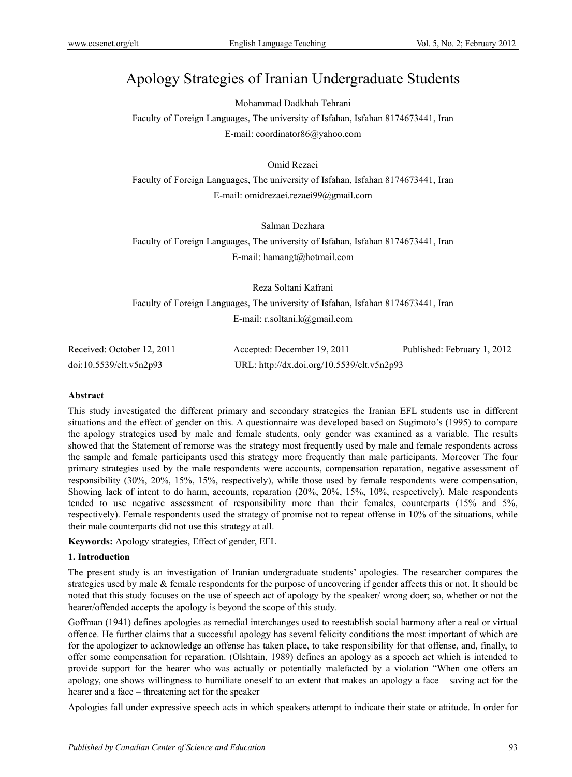# Apology Strategies of Iranian Undergraduate Students

Mohammad Dadkhah Tehrani

Faculty of Foreign Languages, The university of Isfahan, Isfahan 8174673441, Iran E-mail: coordinator86@yahoo.com

# Omid Rezaei

Faculty of Foreign Languages, The university of Isfahan, Isfahan 8174673441, Iran E-mail: omidrezaei.rezaei99@gmail.com

Salman Dezhara

Faculty of Foreign Languages, The university of Isfahan, Isfahan 8174673441, Iran E-mail: hamangt@hotmail.com

Reza Soltani Kafrani Faculty of Foreign Languages, The university of Isfahan, Isfahan 8174673441, Iran E-mail: r.soltani.k@gmail.com

| Received: October 12, 2011 | Accepted: December 19, 2011                | Published: February 1, 2012 |
|----------------------------|--------------------------------------------|-----------------------------|
| doi:10.5539/elt.v5n2p93    | URL: http://dx.doi.org/10.5539/elt.v5n2p93 |                             |

## **Abstract**

This study investigated the different primary and secondary strategies the Iranian EFL students use in different situations and the effect of gender on this. A questionnaire was developed based on Sugimoto's (1995) to compare the apology strategies used by male and female students, only gender was examined as a variable. The results showed that the Statement of remorse was the strategy most frequently used by male and female respondents across the sample and female participants used this strategy more frequently than male participants. Moreover The four primary strategies used by the male respondents were accounts, compensation reparation, negative assessment of responsibility (30%, 20%, 15%, 15%, respectively), while those used by female respondents were compensation, Showing lack of intent to do harm, accounts, reparation (20%, 20%, 15%, 10%, respectively). Male respondents tended to use negative assessment of responsibility more than their females, counterparts (15% and 5%, respectively). Female respondents used the strategy of promise not to repeat offense in 10% of the situations, while their male counterparts did not use this strategy at all.

**Keywords:** Apology strategies, Effect of gender, EFL

## **1. Introduction**

The present study is an investigation of Iranian undergraduate students' apologies. The researcher compares the strategies used by male & female respondents for the purpose of uncovering if gender affects this or not. It should be noted that this study focuses on the use of speech act of apology by the speaker/ wrong doer; so, whether or not the hearer/offended accepts the apology is beyond the scope of this study.

Goffman (1941) defines apologies as remedial interchanges used to reestablish social harmony after a real or virtual offence. He further claims that a successful apology has several felicity conditions the most important of which are for the apologizer to acknowledge an offense has taken place, to take responsibility for that offense, and, finally, to offer some compensation for reparation. (Olshtain, 1989) defines an apology as a speech act which is intended to provide support for the hearer who was actually or potentially malefacted by a violation "When one offers an apology, one shows willingness to humiliate oneself to an extent that makes an apology a face – saving act for the hearer and a face – threatening act for the speaker

Apologies fall under expressive speech acts in which speakers attempt to indicate their state or attitude. In order for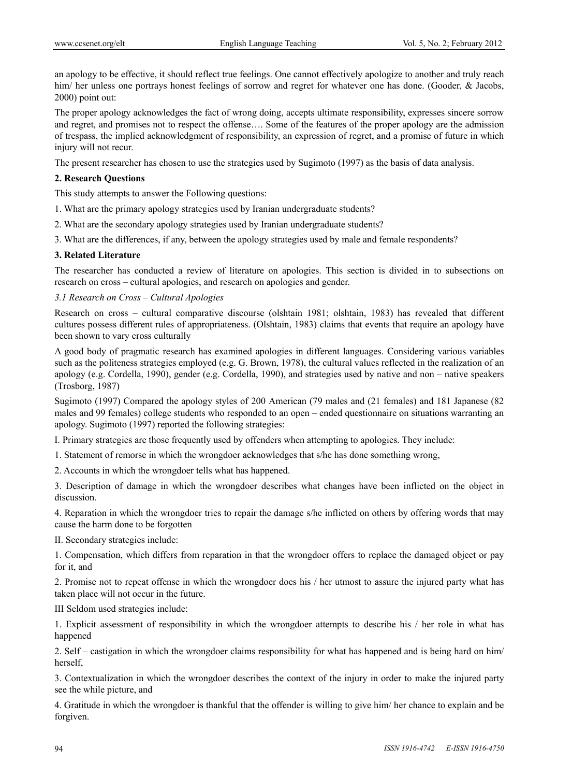an apology to be effective, it should reflect true feelings. One cannot effectively apologize to another and truly reach him/ her unless one portrays honest feelings of sorrow and regret for whatever one has done. (Gooder, & Jacobs, 2000) point out:

The proper apology acknowledges the fact of wrong doing, accepts ultimate responsibility, expresses sincere sorrow and regret, and promises not to respect the offense…. Some of the features of the proper apology are the admission of trespass, the implied acknowledgment of responsibility, an expression of regret, and a promise of future in which injury will not recur.

The present researcher has chosen to use the strategies used by Sugimoto (1997) as the basis of data analysis.

#### **2. Research Questions**

This study attempts to answer the Following questions:

- 1. What are the primary apology strategies used by Iranian undergraduate students?
- 2. What are the secondary apology strategies used by Iranian undergraduate students?
- 3. What are the differences, if any, between the apology strategies used by male and female respondents?

#### **3. Related Literature**

The researcher has conducted a review of literature on apologies. This section is divided in to subsections on research on cross – cultural apologies, and research on apologies and gender.

#### *3.1 Research on Cross – Cultural Apologies*

Research on cross – cultural comparative discourse (olshtain 1981; olshtain, 1983) has revealed that different cultures possess different rules of appropriateness. (Olshtain, 1983) claims that events that require an apology have been shown to vary cross culturally

A good body of pragmatic research has examined apologies in different languages. Considering various variables such as the politeness strategies employed (e.g. G. Brown, 1978), the cultural values reflected in the realization of an apology (e.g. Cordella, 1990), gender (e.g. Cordella, 1990), and strategies used by native and non – native speakers (Trosborg, 1987)

Sugimoto (1997) Compared the apology styles of 200 American (79 males and (21 females) and 181 Japanese (82 males and 99 females) college students who responded to an open – ended questionnaire on situations warranting an apology. Sugimoto (1997) reported the following strategies:

I. Primary strategies are those frequently used by offenders when attempting to apologies. They include:

1. Statement of remorse in which the wrongdoer acknowledges that s/he has done something wrong,

2. Accounts in which the wrongdoer tells what has happened.

3. Description of damage in which the wrongdoer describes what changes have been inflicted on the object in discussion.

4. Reparation in which the wrongdoer tries to repair the damage s/he inflicted on others by offering words that may cause the harm done to be forgotten

II. Secondary strategies include:

1. Compensation, which differs from reparation in that the wrongdoer offers to replace the damaged object or pay for it, and

2. Promise not to repeat offense in which the wrongdoer does his / her utmost to assure the injured party what has taken place will not occur in the future.

III Seldom used strategies include:

1. Explicit assessment of responsibility in which the wrongdoer attempts to describe his / her role in what has happened

2. Self – castigation in which the wrongdoer claims responsibility for what has happened and is being hard on him/ herself,

3. Contextualization in which the wrongdoer describes the context of the injury in order to make the injured party see the while picture, and

4. Gratitude in which the wrongdoer is thankful that the offender is willing to give him/ her chance to explain and be forgiven.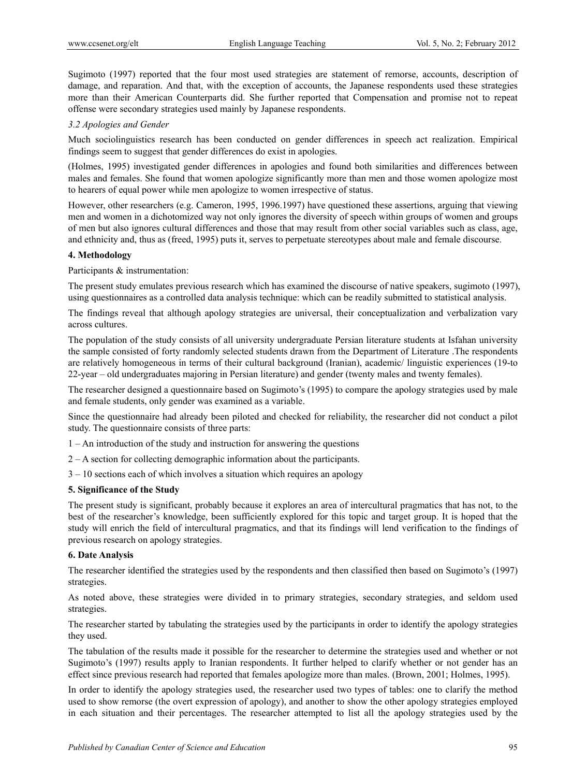Sugimoto (1997) reported that the four most used strategies are statement of remorse, accounts, description of damage, and reparation. And that, with the exception of accounts, the Japanese respondents used these strategies more than their American Counterparts did. She further reported that Compensation and promise not to repeat offense were secondary strategies used mainly by Japanese respondents.

#### *3.2 Apologies and Gender*

Much sociolinguistics research has been conducted on gender differences in speech act realization. Empirical findings seem to suggest that gender differences do exist in apologies.

(Holmes, 1995) investigated gender differences in apologies and found both similarities and differences between males and females. She found that women apologize significantly more than men and those women apologize most to hearers of equal power while men apologize to women irrespective of status.

However, other researchers (e.g. Cameron, 1995, 1996.1997) have questioned these assertions, arguing that viewing men and women in a dichotomized way not only ignores the diversity of speech within groups of women and groups of men but also ignores cultural differences and those that may result from other social variables such as class, age, and ethnicity and, thus as (freed, 1995) puts it, serves to perpetuate stereotypes about male and female discourse.

#### **4. Methodology**

Participants & instrumentation:

The present study emulates previous research which has examined the discourse of native speakers, sugimoto (1997), using questionnaires as a controlled data analysis technique: which can be readily submitted to statistical analysis.

The findings reveal that although apology strategies are universal, their conceptualization and verbalization vary across cultures.

The population of the study consists of all university undergraduate Persian literature students at Isfahan university the sample consisted of forty randomly selected students drawn from the Department of Literature .The respondents are relatively homogeneous in terms of their cultural background (Iranian), academic/ linguistic experiences (19-to 22-year – old undergraduates majoring in Persian literature) and gender (twenty males and twenty females).

The researcher designed a questionnaire based on Sugimoto's (1995) to compare the apology strategies used by male and female students, only gender was examined as a variable.

Since the questionnaire had already been piloted and checked for reliability, the researcher did not conduct a pilot study. The questionnaire consists of three parts:

- 1 An introduction of the study and instruction for answering the questions
- 2 A section for collecting demographic information about the participants.
- 3 10 sections each of which involves a situation which requires an apology

#### **5. Significance of the Study**

The present study is significant, probably because it explores an area of intercultural pragmatics that has not, to the best of the researcher's knowledge, been sufficiently explored for this topic and target group. It is hoped that the study will enrich the field of intercultural pragmatics, and that its findings will lend verification to the findings of previous research on apology strategies.

#### **6. Date Analysis**

The researcher identified the strategies used by the respondents and then classified then based on Sugimoto's (1997) strategies.

As noted above, these strategies were divided in to primary strategies, secondary strategies, and seldom used strategies.

The researcher started by tabulating the strategies used by the participants in order to identify the apology strategies they used.

The tabulation of the results made it possible for the researcher to determine the strategies used and whether or not Sugimoto's (1997) results apply to Iranian respondents. It further helped to clarify whether or not gender has an effect since previous research had reported that females apologize more than males. (Brown, 2001; Holmes, 1995).

In order to identify the apology strategies used, the researcher used two types of tables: one to clarify the method used to show remorse (the overt expression of apology), and another to show the other apology strategies employed in each situation and their percentages. The researcher attempted to list all the apology strategies used by the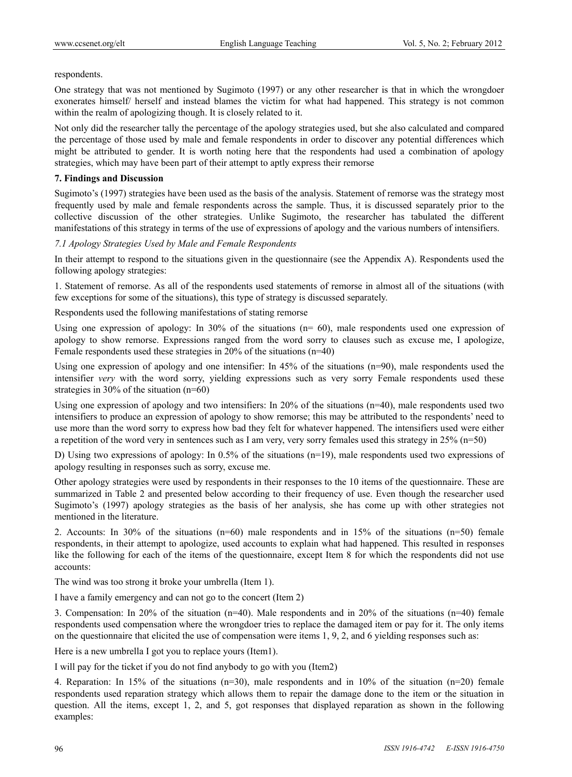respondents.

One strategy that was not mentioned by Sugimoto (1997) or any other researcher is that in which the wrongdoer exonerates himself/ herself and instead blames the victim for what had happened. This strategy is not common within the realm of apologizing though. It is closely related to it.

Not only did the researcher tally the percentage of the apology strategies used, but she also calculated and compared the percentage of those used by male and female respondents in order to discover any potential differences which might be attributed to gender. It is worth noting here that the respondents had used a combination of apology strategies, which may have been part of their attempt to aptly express their remorse

## **7. Findings and Discussion**

Sugimoto's (1997) strategies have been used as the basis of the analysis. Statement of remorse was the strategy most frequently used by male and female respondents across the sample. Thus, it is discussed separately prior to the collective discussion of the other strategies. Unlike Sugimoto, the researcher has tabulated the different manifestations of this strategy in terms of the use of expressions of apology and the various numbers of intensifiers.

## *7.1 Apology Strategies Used by Male and Female Respondents*

In their attempt to respond to the situations given in the questionnaire (see the Appendix A). Respondents used the following apology strategies:

1. Statement of remorse. As all of the respondents used statements of remorse in almost all of the situations (with few exceptions for some of the situations), this type of strategy is discussed separately.

Respondents used the following manifestations of stating remorse

Using one expression of apology: In  $30\%$  of the situations (n= 60), male respondents used one expression of apology to show remorse. Expressions ranged from the word sorry to clauses such as excuse me, I apologize, Female respondents used these strategies in 20% of the situations (n=40)

Using one expression of apology and one intensifier: In 45% of the situations (n=90), male respondents used the intensifier *very* with the word sorry, yielding expressions such as very sorry Female respondents used these strategies in 30% of the situation (n=60)

Using one expression of apology and two intensifiers: In 20% of the situations (n=40), male respondents used two intensifiers to produce an expression of apology to show remorse; this may be attributed to the respondents' need to use more than the word sorry to express how bad they felt for whatever happened. The intensifiers used were either a repetition of the word very in sentences such as I am very, very sorry females used this strategy in 25% (n=50)

D) Using two expressions of apology: In 0.5% of the situations (n=19), male respondents used two expressions of apology resulting in responses such as sorry, excuse me.

Other apology strategies were used by respondents in their responses to the 10 items of the questionnaire. These are summarized in Table 2 and presented below according to their frequency of use. Even though the researcher used Sugimoto's (1997) apology strategies as the basis of her analysis, she has come up with other strategies not mentioned in the literature.

2. Accounts: In 30% of the situations (n=60) male respondents and in 15% of the situations (n=50) female respondents, in their attempt to apologize, used accounts to explain what had happened. This resulted in responses like the following for each of the items of the questionnaire, except Item 8 for which the respondents did not use accounts:

The wind was too strong it broke your umbrella (Item 1).

I have a family emergency and can not go to the concert (Item 2)

3. Compensation: In 20% of the situation (n=40). Male respondents and in 20% of the situations (n=40) female respondents used compensation where the wrongdoer tries to replace the damaged item or pay for it. The only items on the questionnaire that elicited the use of compensation were items 1, 9, 2, and 6 yielding responses such as:

Here is a new umbrella I got you to replace yours (Item1).

I will pay for the ticket if you do not find anybody to go with you (Item2)

4. Reparation: In 15% of the situations (n=30), male respondents and in 10% of the situation (n=20) female respondents used reparation strategy which allows them to repair the damage done to the item or the situation in question. All the items, except 1, 2, and 5, got responses that displayed reparation as shown in the following examples: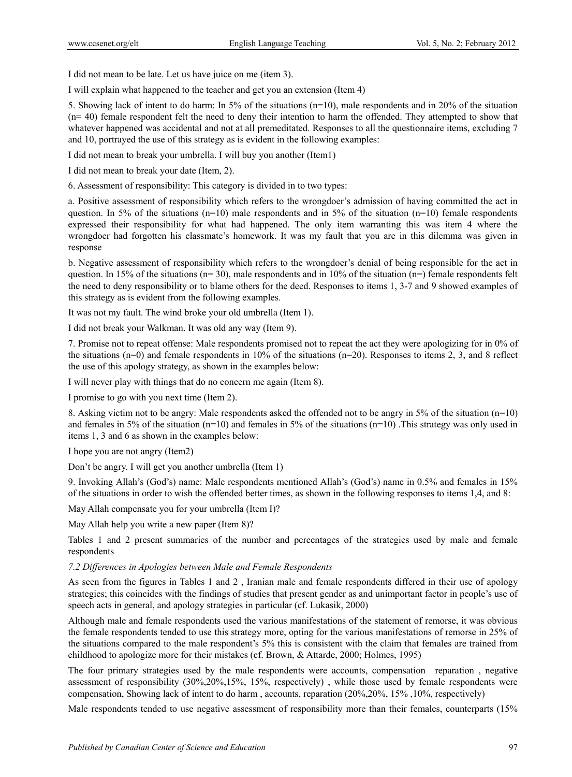I did not mean to be late. Let us have juice on me (item 3).

I will explain what happened to the teacher and get you an extension (Item 4)

5. Showing lack of intent to do harm: In 5% of the situations (n=10), male respondents and in 20% of the situation  $(n= 40)$  female respondent felt the need to deny their intention to harm the offended. They attempted to show that whatever happened was accidental and not at all premeditated. Responses to all the questionnaire items, excluding 7 and 10, portrayed the use of this strategy as is evident in the following examples:

I did not mean to break your umbrella. I will buy you another (Item1)

I did not mean to break your date (Item, 2).

6. Assessment of responsibility: This category is divided in to two types:

a. Positive assessment of responsibility which refers to the wrongdoer's admission of having committed the act in question. In 5% of the situations  $(n=10)$  male respondents and in 5% of the situation  $(n=10)$  female respondents expressed their responsibility for what had happened. The only item warranting this was item 4 where the wrongdoer had forgotten his classmate's homework. It was my fault that you are in this dilemma was given in response

b. Negative assessment of responsibility which refers to the wrongdoer's denial of being responsible for the act in question. In 15% of the situations ( $n=30$ ), male respondents and in 10% of the situation ( $n=$ ) female respondents felt the need to deny responsibility or to blame others for the deed. Responses to items 1, 3-7 and 9 showed examples of this strategy as is evident from the following examples.

It was not my fault. The wind broke your old umbrella (Item 1).

I did not break your Walkman. It was old any way (Item 9).

7. Promise not to repeat offense: Male respondents promised not to repeat the act they were apologizing for in 0% of the situations (n=0) and female respondents in 10% of the situations (n=20). Responses to items 2, 3, and 8 reflect the use of this apology strategy, as shown in the examples below:

I will never play with things that do no concern me again (Item 8).

I promise to go with you next time (Item 2).

8. Asking victim not to be angry: Male respondents asked the offended not to be angry in 5% of the situation (n=10) and females in 5% of the situation (n=10) and females in 5% of the situations (n=10). This strategy was only used in items 1, 3 and 6 as shown in the examples below:

I hope you are not angry (Item2)

Don't be angry. I will get you another umbrella (Item 1)

9. Invoking Allah's (God's) name: Male respondents mentioned Allah's (God's) name in 0.5% and females in 15% of the situations in order to wish the offended better times, as shown in the following responses to items 1,4, and 8:

May Allah compensate you for your umbrella (Item I)?

May Allah help you write a new paper (Item 8)?

Tables 1 and 2 present summaries of the number and percentages of the strategies used by male and female respondents

### *7.2 Differences in Apologies between Male and Female Respondents*

As seen from the figures in Tables 1 and 2 , Iranian male and female respondents differed in their use of apology strategies; this coincides with the findings of studies that present gender as and unimportant factor in people's use of speech acts in general, and apology strategies in particular (cf. Lukasik, 2000)

Although male and female respondents used the various manifestations of the statement of remorse, it was obvious the female respondents tended to use this strategy more, opting for the various manifestations of remorse in 25% of the situations compared to the male respondent's 5% this is consistent with the claim that females are trained from childhood to apologize more for their mistakes (cf. Brown, & Attarde, 2000; Holmes, 1995)

The four primary strategies used by the male respondents were accounts, compensation reparation , negative assessment of responsibility (30%,20%,15%, 15%, respectively) , while those used by female respondents were compensation, Showing lack of intent to do harm , accounts, reparation (20%,20%, 15% ,10%, respectively)

Male respondents tended to use negative assessment of responsibility more than their females, counterparts (15%)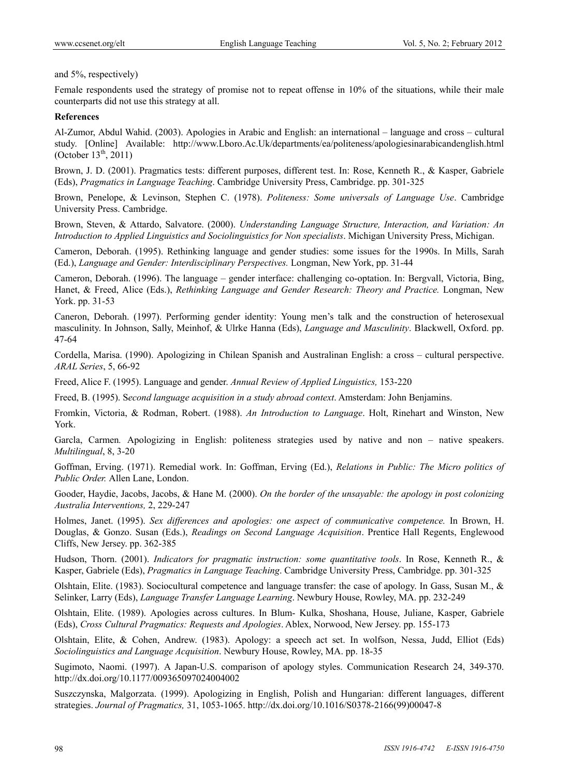and 5%, respectively)

Female respondents used the strategy of promise not to repeat offense in 10% of the situations, while their male counterparts did not use this strategy at all.

#### **References**

Al-Zumor, Abdul Wahid. (2003). Apologies in Arabic and English: an international – language and cross – cultural study. [Online] Available: http://www.Lboro.Ac.Uk/departments/ea/politeness/apologiesinarabicandenglish.html (October  $13^{th}$ , 2011)

Brown, J. D. (2001). Pragmatics tests: different purposes, different test. In: Rose, Kenneth R., & Kasper, Gabriele (Eds), *Pragmatics in Language Teaching*. Cambridge University Press, Cambridge. pp. 301-325

Brown, Penelope, & Levinson, Stephen C. (1978). *Politeness: Some universals of Language Use*. Cambridge University Press. Cambridge.

Brown, Steven, & Attardo, Salvatore. (2000). *Understanding Language Structure, Interaction, and Variation: An Introduction to Applied Linguistics and Sociolinguistics for Non specialists*. Michigan University Press, Michigan.

Cameron, Deborah. (1995). Rethinking language and gender studies: some issues for the 1990s. In Mills, Sarah (Ed.), *Language and Gender: Interdisciplinary Perspectives.* Longman, New York, pp. 31-44

Cameron, Deborah. (1996). The language – gender interface: challenging co-optation. In: Bergvall, Victoria, Bing, Hanet, & Freed, Alice (Eds.), *Rethinking Language and Gender Research: Theory and Practice.* Longman, New York. pp. 31-53

Caneron, Deborah. (1997). Performing gender identity: Young men's talk and the construction of heterosexual masculinity. In Johnson, Sally, Meinhof, & Ulrke Hanna (Eds), *Language and Masculinity*. Blackwell, Oxford. pp. 47-64

Cordella, Marisa. (1990). Apologizing in Chilean Spanish and Australinan English: a cross – cultural perspective. *ARAL Series*, 5, 66-92

Freed, Alice F. (1995). Language and gender. *Annual Review of Applied Linguistics,* 153-220

Freed, B. (1995). S*econd language acquisition in a study abroad context*. Amsterdam: John Benjamins.

Fromkin, Victoria, & Rodman, Robert. (1988). *An Introduction to Language*. Holt, Rinehart and Winston, New York.

Garcla, Carmen. Apologizing in English: politeness strategies used by native and non – native speakers. *Multilingual*, 8, 3-20

Goffman, Erving. (1971). Remedial work. In: Goffman, Erving (Ed.), *Relations in Public: The Micro politics of Public Order.* Allen Lane, London.

Gooder, Haydie, Jacobs, Jacobs, & Hane M. (2000). *On the border of the unsayable: the apology in post colonizing Australia Interventions,* 2, 229-247

Holmes, Janet. (1995). *Sex differences and apologies: one aspect of communicative competence.* In Brown, H. Douglas, & Gonzo. Susan (Eds.), *Readings on Second Language Acquisition*. Prentice Hall Regents, Englewood Cliffs, New Jersey. pp. 362-385

Hudson, Thorn. (2001). *Indicators for pragmatic instruction: some quantitative tools*. In Rose, Kenneth R., & Kasper, Gabriele (Eds), *Pragmatics in Language Teaching*. Cambridge University Press, Cambridge. pp. 301-325

Olshtain, Elite. (1983). Sociocultural competence and language transfer: the case of apology. In Gass, Susan M., & Selinker, Larry (Eds), *Language Transfer Language Learning*. Newbury House, Rowley, MA. pp. 232-249

Olshtain, Elite. (1989). Apologies across cultures. In Blum- Kulka, Shoshana, House, Juliane, Kasper, Gabriele (Eds), *Cross Cultural Pragmatics: Requests and Apologies*. Ablex, Norwood, New Jersey. pp. 155-173

Olshtain, Elite, & Cohen, Andrew. (1983). Apology: a speech act set. In wolfson, Nessa, Judd, Elliot (Eds) *Sociolinguistics and Language Acquisition*. Newbury House, Rowley, MA. pp. 18-35

Sugimoto, Naomi. (1997). A Japan-U.S. comparison of apology styles. Communication Research 24, 349-370. http://dx.doi.org/10.1177/009365097024004002

Suszczynska, Malgorzata. (1999). Apologizing in English, Polish and Hungarian: different languages, different strategies. *Journal of Pragmatics,* 31, 1053-1065. http://dx.doi.org/10.1016/S0378-2166(99)00047-8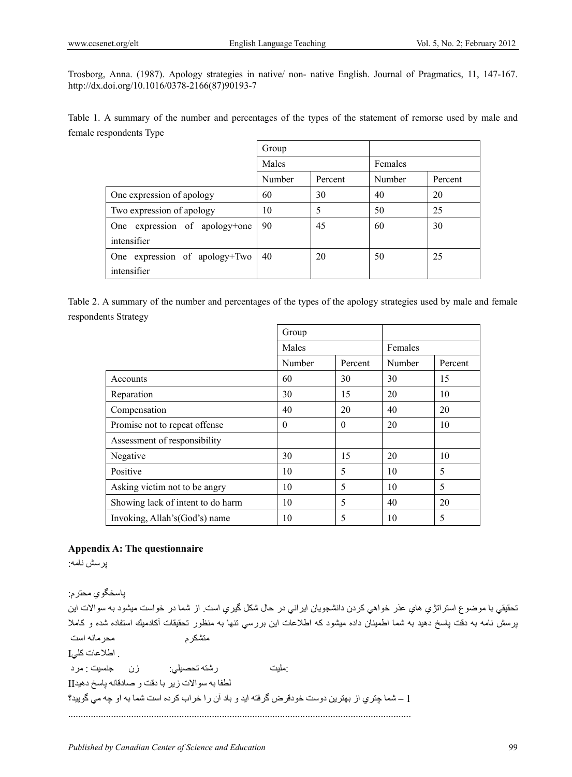Trosborg, Anna. (1987). Apology strategies in native/ non- native English. Journal of Pragmatics, 11, 147-167. http://dx.doi.org/10.1016/0378-2166(87)90193-7

Table 1. A summary of the number and percentages of the types of the statement of remorse used by male and female respondents Type

|                                  | Group  |         |         |         |
|----------------------------------|--------|---------|---------|---------|
|                                  | Males  |         | Females |         |
|                                  | Number | Percent | Number  | Percent |
| One expression of apology        | 60     | 30      | 40      | 20      |
| Two expression of apology        | 10     | 5       | 50      | 25      |
| expression of apology+one<br>One | 90     | 45      | 60      | 30      |
| intensifier                      |        |         |         |         |
| One expression of apology+Two    | 40     | 20      | 50      | 25      |
| intensifier                      |        |         |         |         |

Table 2. A summary of the number and percentages of the types of the apology strategies used by male and female respondents Strategy

|                                   | Group    |          |        |         |  |
|-----------------------------------|----------|----------|--------|---------|--|
|                                   | Males    |          |        | Females |  |
|                                   | Number   | Percent  | Number | Percent |  |
| Accounts                          | 60       | 30       | 30     | 15      |  |
| Reparation                        | 30       | 15       | 20     | 10      |  |
| Compensation                      | 40       | 20       | 40     | 20      |  |
| Promise not to repeat offense     | $\theta$ | $\theta$ | 20     | 10      |  |
| Assessment of responsibility      |          |          |        |         |  |
| Negative                          | 30       | 15       | 20     | 10      |  |
| Positive                          | 10       | 5        | 10     | 5       |  |
| Asking victim not to be angry     | 10       | 5        | 10     | 5       |  |
| Showing lack of intent to do harm | 10       | 5        | 40     | 20      |  |
| Invoking, Allah's (God's) name    | 10       | 5        | 10     | 5       |  |

# **Appendix A: The questionnaire**

پرسش نامه:

پاسخگوي محترم : تحقيقي با موضوع استراتژي هاي عذر خواهي كردن دانشجويان ايراني در حال شكل گيري است. از شما در خواست ميشود به سوالات اين پرسش نامه به دقت پاسخ دهيد به شما اطمينان داده ميشود كه اطلاعات اين بررسي تنها به منظور تحقيقات أكادميك استفاده شده و كاملا متشكرم محرمانه است . اطلاعات كل*ي*I :مليت رشته تحصيلي : زن جنسيت : مرد لطفا به سوالات زير با دقت و صادقانه پاسخ دهيد II 1 – شما چتري از بهترين دوست خودقرض گرفته ايد و باد آن را خراب كرده است شما به او چه مي گوييد؟ ................................................................................................ ........................................